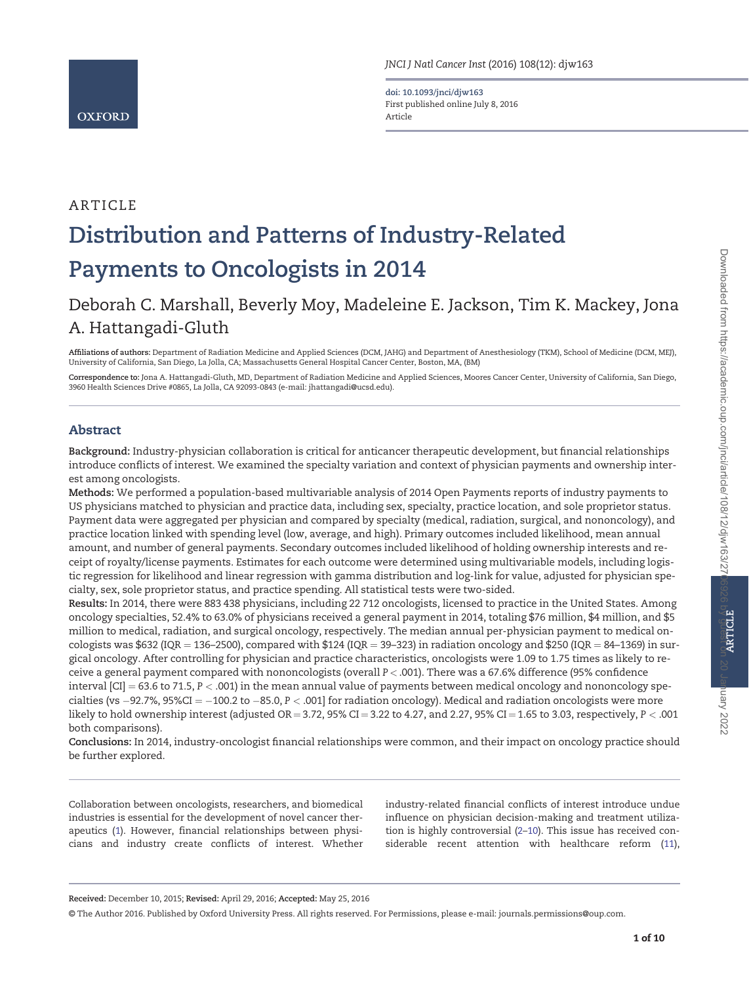ARTICLE

doi: 10.1093/jnci/djw163 First published online July 8, 2016 Article

# Distribution and Patterns of Industry-Related Payments to Oncologists in 2014

# Deborah C. Marshall, Beverly Moy, Madeleine E. Jackson, Tim K. Mackey, Jona A. Hattangadi-Gluth

Affiliations of authors: Department of Radiation Medicine and Applied Sciences (DCM, JAHG) and Department of Anesthesiology (TKM), School of Medicine (DCM, MEJ), University of California, San Diego, La Jolla, CA; Massachusetts General Hospital Cancer Center, Boston, MA, (BM)

Correspondence to: Jona A. Hattangadi-Gluth, MD, Department of Radiation Medicine and Applied Sciences, Moores Cancer Center, University of California, San Diego, 3960 Health Sciences Drive #0865, La Jolla, CA 92093-0843 (e-mail: [jhattangadi@ucsd.edu\).](mailto:jhattangadi@ucsd.edu)

# Abstract

Background: Industry-physician collaboration is critical for anticancer therapeutic development, but financial relationships introduce conflicts of interest. We examined the specialty variation and context of physician payments and ownership interest among oncologists.

Methods: We performed a population-based multivariable analysis of 2014 Open Payments reports of industry payments to US physicians matched to physician and practice data, including sex, specialty, practice location, and sole proprietor status. Payment data were aggregated per physician and compared by specialty (medical, radiation, surgical, and nononcology), and practice location linked with spending level (low, average, and high). Primary outcomes included likelihood, mean annual amount, and number of general payments. Secondary outcomes included likelihood of holding ownership interests and receipt of royalty/license payments. Estimates for each outcome were determined using multivariable models, including logistic regression for likelihood and linear regression with gamma distribution and log-link for value, adjusted for physician specialty, sex, sole proprietor status, and practice spending. All statistical tests were two-sided.

Results: In 2014, there were 883 438 physicians, including 22 712 oncologists, licensed to practice in the United States. Among oncology specialties, 52.4% to 63.0% of physicians received a general payment in 2014, totaling \$76 million, \$4 million, and \$5 million to medical, radiation, and surgical oncology, respectively. The median annual per-physician payment to medical oncologists was \$632 (IQR = 136–2500), compared with \$124 (IQR = 39–323) in radiation oncology and \$250 (IQR = 84–1369) in surgical oncology. After controlling for physician and practice characteristics, oncologists were 1.09 to 1.75 times as likely to receive a general payment compared with nononcologists (overall P < .001). There was a 67.6% difference (95% confidence interval  $|CI| = 63.6$  to 71.5,  $P < .001$ ) in the mean annual value of payments between medical oncology and nononcology specialties (vs –92.7%, 95%CI = –100.2 to –85.0, P < .001] for radiation oncology). Medical and radiation oncologists were more likely to hold ownership interest (adjusted OR = 3.72, 95% CI = 3.22 to 4.27, and 2.27, 95% CI = 1.65 to 3.03, respectively,  $P < .001$ both comparisons).

Conclusions: In 2014, industry-oncologist financial relationships were common, and their impact on oncology practice should be further explored.

© The Author 2016. Published by Oxford University Press. All rights reserved. For Permissions, please e-mail: journals.permissions@oup.com.

Collaboration between oncologists, researchers, and biomedical industries is essential for the development of novel cancer therapeutics ([1\)](#page-8-0). However, financial relationships between physicians and industry create conflicts of interest. Whether

Received: December 10, 2015; Revised: April 29, 2016; Accepted: May 25, 2016

industry-related financial conflicts of interest introduce undue influence on physician decision-making and treatment utilization is highly controversial ([2–10\)](#page-8-0). This issue has received considerable recent attention with healthcare reform ([11](#page-8-0)), nary 2022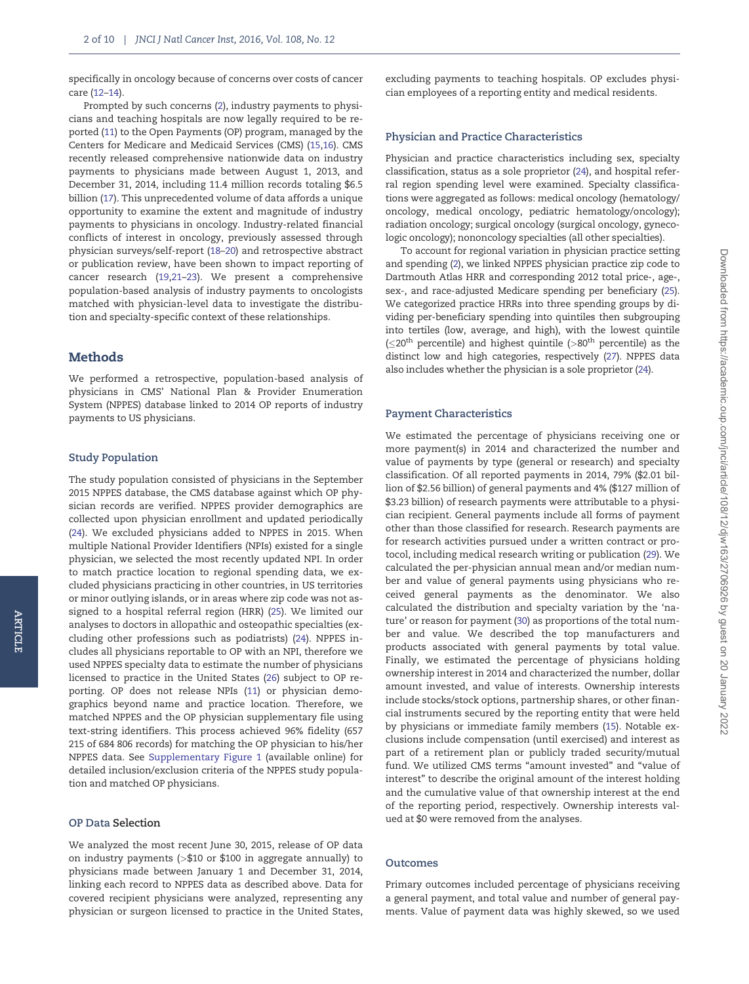specifically in oncology because of concerns over costs of cancer care [\(12–14\)](#page-8-0).

Prompted by such concerns [\(2](#page-8-0)), industry payments to physicians and teaching hospitals are now legally required to be reported ([11](#page-8-0)) to the Open Payments (OP) program, managed by the Centers for Medicare and Medicaid Services (CMS) ([15,16](#page-8-0)). CMS recently released comprehensive nationwide data on industry payments to physicians made between August 1, 2013, and December 31, 2014, including 11.4 million records totaling \$6.5 billion [\(17](#page-8-0)). This unprecedented volume of data affords a unique opportunity to examine the extent and magnitude of industry payments to physicians in oncology. Industry-related financial conflicts of interest in oncology, previously assessed through physician surveys/self-report [\(18–20](#page-8-0)) and retrospective abstract or publication review, have been shown to impact reporting of cancer research [\(19](#page-8-0)[,21–23\)](#page-9-0). We present a comprehensive population-based analysis of industry payments to oncologists matched with physician-level data to investigate the distribution and specialty-specific context of these relationships.

# Methods

We performed a retrospective, population-based analysis of physicians in CMS' National Plan & Provider Enumeration System (NPPES) database linked to 2014 OP reports of industry payments to US physicians.

# Study Population

ARTICLE

**ARTICLE** 

The study population consisted of physicians in the September 2015 NPPES database, the CMS database against which OP physician records are verified. NPPES provider demographics are collected upon physician enrollment and updated periodically ([24](#page-9-0)). We excluded physicians added to NPPES in 2015. When multiple National Provider Identifiers (NPIs) existed for a single physician, we selected the most recently updated NPI. In order to match practice location to regional spending data, we excluded physicians practicing in other countries, in US territories or minor outlying islands, or in areas where zip code was not assigned to a hospital referral region (HRR) [\(25\)](#page-9-0). We limited our analyses to doctors in allopathic and osteopathic specialties (excluding other professions such as podiatrists) [\(24](#page-9-0)). NPPES includes all physicians reportable to OP with an NPI, therefore we used NPPES specialty data to estimate the number of physicians licensed to practice in the United States ([26](#page-9-0)) subject to OP reporting. OP does not release NPIs [\(11\)](#page-8-0) or physician demographics beyond name and practice location. Therefore, we matched NPPES and the OP physician supplementary file using text-string identifiers. This process achieved 96% fidelity (657 215 of 684 806 records) for matching the OP physician to his/her NPPES data. See [Supplementary Figure 1](http://jnci.oxfordjournals.org/lookup/suppl/doi:10.1093/jnci/djw163/-/DC1) (available online) for detailed inclusion/exclusion criteria of the NPPES study population and matched OP physicians.

#### OP Data Selection

We analyzed the most recent June 30, 2015, release of OP data on industry payments (>\$10 or \$100 in aggregate annually) to physicians made between January 1 and December 31, 2014, linking each record to NPPES data as described above. Data for covered recipient physicians were analyzed, representing any physician or surgeon licensed to practice in the United States,

excluding payments to teaching hospitals. OP excludes physician employees of a reporting entity and medical residents.

## Physician and Practice Characteristics

Physician and practice characteristics including sex, specialty classification, status as a sole proprietor ([24](#page-9-0)), and hospital referral region spending level were examined. Specialty classifications were aggregated as follows: medical oncology (hematology/ oncology, medical oncology, pediatric hematology/oncology); radiation oncology; surgical oncology (surgical oncology, gynecologic oncology); nononcology specialties (all other specialties).

To account for regional variation in physician practice setting and spending [\(2](#page-8-0)), we linked NPPES physician practice zip code to Dartmouth Atlas HRR and corresponding 2012 total price-, age-, sex-, and race-adjusted Medicare spending per beneficiary [\(25](#page-9-0)). We categorized practice HRRs into three spending groups by dividing per-beneficiary spending into quintiles then subgrouping into tertiles (low, average, and high), with the lowest quintile  $(\leq 20^{th}$  percentile) and highest quintile (>80<sup>th</sup> percentile) as the distinct low and high categories, respectively [\(27](#page-9-0)). NPPES data also includes whether the physician is a sole proprietor [\(24](#page-9-0)).

#### Payment Characteristics

We estimated the percentage of physicians receiving one or more payment(s) in 2014 and characterized the number and value of payments by type (general or research) and specialty classification. Of all reported payments in 2014, 79% (\$2.01 billion of \$2.56 billion) of general payments and 4% (\$127 million of \$3.23 billion) of research payments were attributable to a physician recipient. General payments include all forms of payment other than those classified for research. Research payments are for research activities pursued under a written contract or protocol, including medical research writing or publication ([29](#page-9-0)). We calculated the per-physician annual mean and/or median number and value of general payments using physicians who received general payments as the denominator. We also calculated the distribution and specialty variation by the 'nature' or reason for payment [\(30](#page-9-0)) as proportions of the total number and value. We described the top manufacturers and products associated with general payments by total value. Finally, we estimated the percentage of physicians holding ownership interest in 2014 and characterized the number, dollar amount invested, and value of interests. Ownership interests include stocks/stock options, partnership shares, or other financial instruments secured by the reporting entity that were held by physicians or immediate family members ([15\)](#page-8-0). Notable exclusions include compensation (until exercised) and interest as part of a retirement plan or publicly traded security/mutual fund. We utilized CMS terms "amount invested" and "value of interest" to describe the original amount of the interest holding and the cumulative value of that ownership interest at the end of the reporting period, respectively. Ownership interests valued at \$0 were removed from the analyses.

# Outcomes

Primary outcomes included percentage of physicians receiving a general payment, and total value and number of general payments. Value of payment data was highly skewed, so we used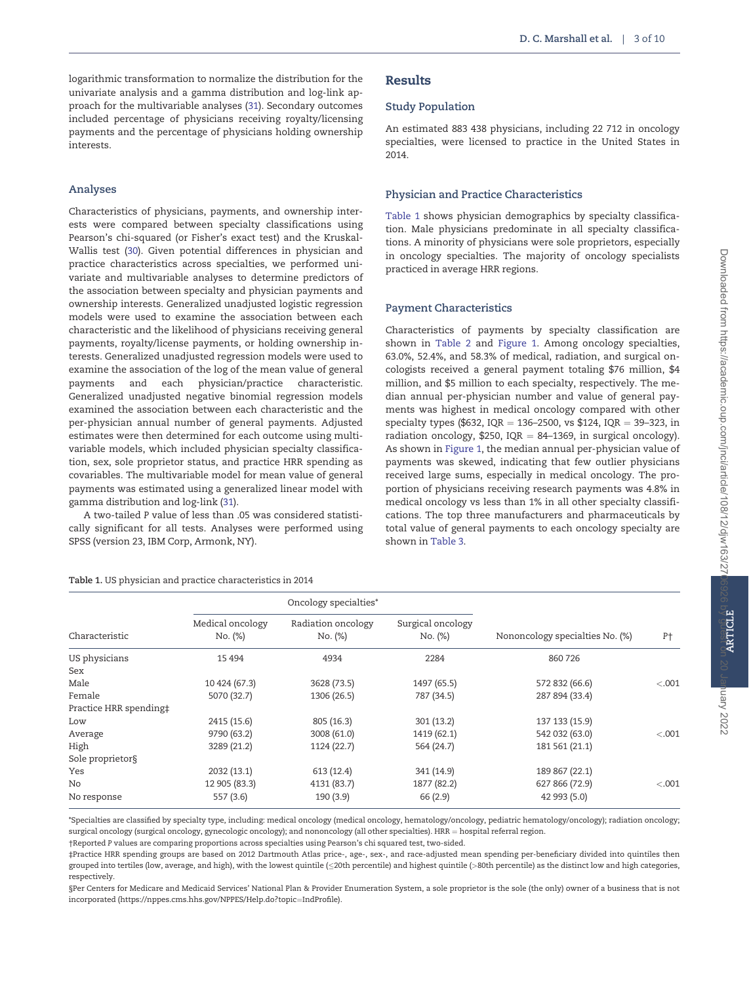logarithmic transformation to normalize the distribution for the univariate analysis and a gamma distribution and log-link approach for the multivariable analyses [\(31\)](#page-9-0). Secondary outcomes included percentage of physicians receiving royalty/licensing payments and the percentage of physicians holding ownership interests.

# Analyses

Characteristics of physicians, payments, and ownership interests were compared between specialty classifications using Pearson's chi-squared (or Fisher's exact test) and the Kruskal-Wallis test [\(30\)](#page-9-0). Given potential differences in physician and practice characteristics across specialties, we performed univariate and multivariable analyses to determine predictors of the association between specialty and physician payments and ownership interests. Generalized unadjusted logistic regression models were used to examine the association between each characteristic and the likelihood of physicians receiving general payments, royalty/license payments, or holding ownership interests. Generalized unadjusted regression models were used to examine the association of the log of the mean value of general payments and each physician/practice characteristic. Generalized unadjusted negative binomial regression models examined the association between each characteristic and the per-physician annual number of general payments. Adjusted estimates were then determined for each outcome using multivariable models, which included physician specialty classification, sex, sole proprietor status, and practice HRR spending as covariables. The multivariable model for mean value of general payments was estimated using a generalized linear model with gamma distribution and log-link [\(31\)](#page-9-0).

A two-tailed P value of less than .05 was considered statistically significant for all tests. Analyses were performed using SPSS (version 23, IBM Corp, Armonk, NY).

Table 1. US physician and practice characteristics in 2014

# Results

# Study Population

An estimated 883 438 physicians, including 22 712 in oncology specialties, were licensed to practice in the United States in 2014.

# Physician and Practice Characteristics

Table 1 shows physician demographics by specialty classification. Male physicians predominate in all specialty classifications. A minority of physicians were sole proprietors, especially in oncology specialties. The majority of oncology specialists practiced in average HRR regions.

# Payment Characteristics

Characteristics of payments by specialty classification are shown in [Table 2](#page-3-0) and [Figure 1.](#page-3-0) Among oncology specialties, 63.0%, 52.4%, and 58.3% of medical, radiation, and surgical oncologists received a general payment totaling \$76 million, \$4 million, and \$5 million to each specialty, respectively. The median annual per-physician number and value of general payments was highest in medical oncology compared with other specialty types (\$632, IQR = 136-2500, vs \$124, IQR = 39-323, in radiation oncology, \$250, IQR = 84–1369, in surgical oncology). As shown in [Figure 1,](#page-3-0) the median annual per-physician value of payments was skewed, indicating that few outlier physicians received large sums, especially in medical oncology. The proportion of physicians receiving research payments was 4.8% in medical oncology vs less than 1% in all other specialty classifications. The top three manufacturers and pharmaceuticals by total value of general payments to each oncology specialty are shown in [Table 3.](#page-4-0)

|                        |                             | Oncology specialties*         |                              |                                 |        |  |
|------------------------|-----------------------------|-------------------------------|------------------------------|---------------------------------|--------|--|
| Characteristic         | Medical oncology<br>No. (%) | Radiation oncology<br>No. (%) | Surgical oncology<br>No. (%) | Nononcology specialties No. (%) | P†     |  |
| US physicians          | 15 4 94                     | 4934                          | 2284                         | 860 726                         |        |  |
| Sex                    |                             |                               |                              |                                 |        |  |
| Male                   | 10 424 (67.3)               | 3628 (73.5)                   | 1497 (65.5)                  | 572 832 (66.6)                  | < .001 |  |
| Female                 | 5070 (32.7)                 | 1306 (26.5)                   | 787 (34.5)                   | 287 894 (33.4)                  |        |  |
| Practice HRR spending‡ |                             |                               |                              |                                 |        |  |
| Low                    | 2415 (15.6)                 | 805 (16.3)                    | 301 (13.2)                   | 137 133 (15.9)                  |        |  |
| Average                | 9790 (63.2)                 | 3008 (61.0)                   | 1419 (62.1)                  | 542 032 (63.0)                  | < .001 |  |
| High                   | 3289 (21.2)                 | 1124 (22.7)                   | 564 (24.7)                   | 181 561 (21.1)                  |        |  |
| Sole proprietor§       |                             |                               |                              |                                 |        |  |
| Yes                    | 2032 (13.1)                 | 613(12.4)                     | 341 (14.9)                   | 189 867 (22.1)                  |        |  |
| No                     | 12 905 (83.3)               | 4131 (83.7)                   | 1877 (82.2)                  | 627 866 (72.9)                  | < .001 |  |
| No response            | 557 (3.6)                   | 190 (3.9)                     | 66(2.9)                      | 42 993 (5.0)                    |        |  |

\*Specialties are classified by specialty type, including: medical oncology (medical oncology, hematology/oncology, pediatric hematology/oncology); radiation oncology; surgical oncology (surgical oncology, gynecologic oncology); and nononcology (all other specialties). HRR = hospital referral region.

†Reported P values are comparing proportions across specialties using Pearson's chi squared test, two-sided.

‡Practice HRR spending groups are based on 2012 Dartmouth Atlas price-, age-, sex-, and race-adjusted mean spending per-beneficiary divided into quintiles then grouped into tertiles (low, average, and high), with the lowest quintile (20th percentile) and highest quintile (>80th percentile) as the distinct low and high categories, respectively.

§Per Centers for Medicare and Medicaid Services' National Plan & Provider Enumeration System, a sole proprietor is the sole (the only) owner of a business that is not incorporated ([https://nppes.cms.hhs.gov/NPPES/Help.do?topic](https://nppes.cms.hhs.gov/NPPES/Help.do?topic=IndProfile)=[IndProfile\)](https://nppes.cms.hhs.gov/NPPES/Help.do?topic=IndProfile).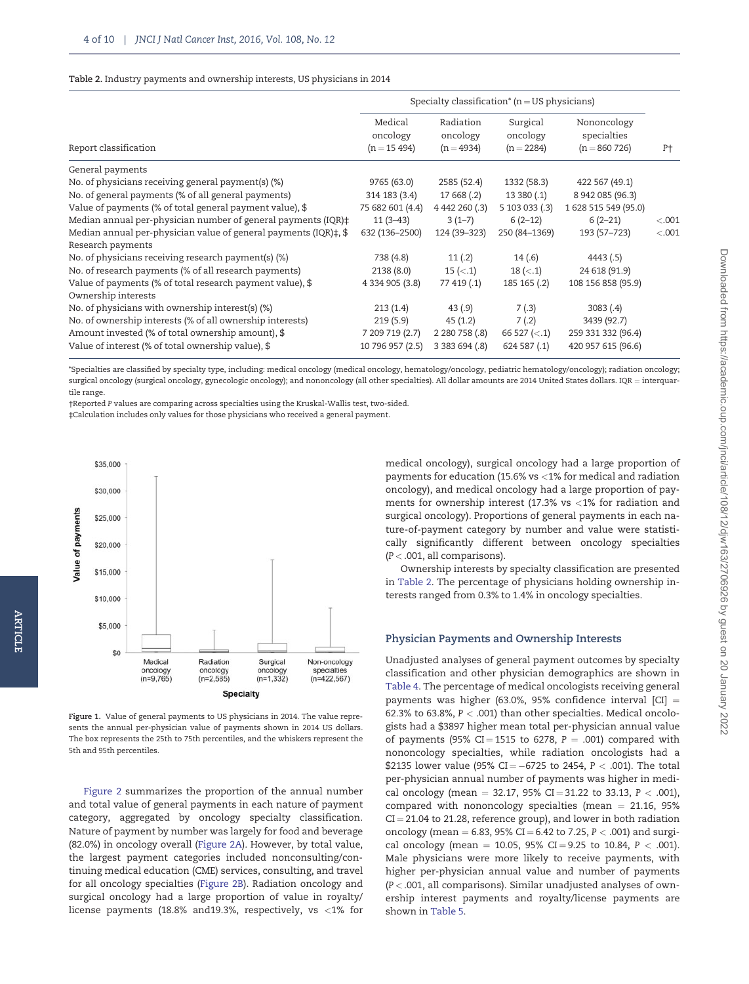#### <span id="page-3-0"></span>Table 2. Industry payments and ownership interests, US physicians in 2014

|                                                                             |                                       |                                       | Specialty classification <sup>*</sup> ( $n = US$ physicians) |                                              |                |
|-----------------------------------------------------------------------------|---------------------------------------|---------------------------------------|--------------------------------------------------------------|----------------------------------------------|----------------|
| Report classification                                                       | Medical<br>oncology<br>$(n = 15 494)$ | Radiation<br>oncology<br>$(n = 4934)$ | Surgical<br>oncology<br>$(n = 2284)$                         | Nononcology<br>specialties<br>$(n = 860726)$ | P <sup>+</sup> |
| General payments                                                            |                                       |                                       |                                                              |                                              |                |
| No. of physicians receiving general payment(s) (%)                          | 9765 (63.0)                           | 2585 (52.4)                           | 1332 (58.3)                                                  | 422 567 (49.1)                               |                |
| No. of general payments (% of all general payments)                         | 314 183 (3.4)                         | 17 668 (.2)                           | 13380(.1)                                                    | 8 942 085 (96.3)                             |                |
| Value of payments (% of total general payment value), \$                    | 75 682 601 (4.4)                      | 4 442 260 (.3)                        | 5 103 033 (.3)                                               | 1 628 515 549 (95.0)                         |                |
| Median annual per-physician number of general payments (IQR) $\ddagger$     | $11(3-43)$                            | $3(1-7)$                              | $6(2-12)$                                                    | $6(2-21)$                                    | < .001         |
| Median annual per-physician value of general payments (IQR) $\ddagger$ , \$ | 632 (136-2500)                        | 124 (39-323)                          | 250 (84-1369)                                                | 193 (57–723)                                 | < .001         |
| Research payments                                                           |                                       |                                       |                                                              |                                              |                |
| No. of physicians receiving research payment(s) (%)                         | 738 (4.8)                             | 11(.2)                                | 14(.6)                                                       | 4443(.5)                                     |                |
| No. of research payments (% of all research payments)                       | 2138(8.0)                             | $15$ ( $\le$ .1)                      | $18 \ (-1)$                                                  | 24 618 (91.9)                                |                |
| Value of payments (% of total research payment value), \$                   | 4 334 905 (3.8)                       | 77 419 (.1)                           | 185 165 (.2)                                                 | 108 156 858 (95.9)                           |                |
| Ownership interests                                                         |                                       |                                       |                                                              |                                              |                |
| No. of physicians with ownership interest(s) (%)                            | 213(1.4)                              | 43(.9)                                | 7(.3)                                                        | 3083(.4)                                     |                |
| No. of ownership interests (% of all ownership interests)                   | 219(5.9)                              | 45(1.2)                               | 7(.2)                                                        | 3439 (92.7)                                  |                |
| Amount invested (% of total ownership amount), \$                           | 7 209 719 (2.7)                       | 2 2 8 0 7 5 8 (.8)                    | 66 527 $(< 1)$                                               | 259 331 332 (96.4)                           |                |
| Value of interest (% of total ownership value), \$                          | 10 796 957 (2.5)                      | 3 383 694 (.8)                        | 624 587 (.1)                                                 | 420 957 615 (96.6)                           |                |

\*Specialties are classified by specialty type, including: medical oncology (medical oncology, hematology/oncology, pediatric hematology/oncology); radiation oncology; surgical oncology (surgical oncology, gynecologic oncology); and nononcology (all other specialties). All dollar amounts are 2014 United States dollars. IQR = interquartile range.

†Reported P values are comparing across specialties using the Kruskal-Wallis test, two-sided.

‡Calculation includes only values for those physicians who received a general payment.



Figure 1. Value of general payments to US physicians in 2014. The value represents the annual per-physician value of payments shown in 2014 US dollars. The box represents the 25th to 75th percentiles, and the whiskers represent the 5th and 95th percentiles.

[Figure 2](#page-5-0) summarizes the proportion of the annual number and total value of general payments in each nature of payment category, aggregated by oncology specialty classification. Nature of payment by number was largely for food and beverage (82.0%) in oncology overall [\(Figure 2A](#page-5-0)). However, by total value, the largest payment categories included nonconsulting/continuing medical education (CME) services, consulting, and travel for all oncology specialties [\(Figure 2B\)](#page-5-0). Radiation oncology and surgical oncology had a large proportion of value in royalty/ license payments (18.8% and19.3%, respectively, vs <1% for

medical oncology), surgical oncology had a large proportion of payments for education (15.6% vs <1% for medical and radiation oncology), and medical oncology had a large proportion of payments for ownership interest (17.3% vs <1% for radiation and surgical oncology). Proportions of general payments in each nature-of-payment category by number and value were statistically significantly different between oncology specialties  $(P < .001,$  all comparisons).

Ownership interests by specialty classification are presented in Table 2. The percentage of physicians holding ownership interests ranged from 0.3% to 1.4% in oncology specialties.

#### Physician Payments and Ownership Interests

Unadjusted analyses of general payment outcomes by specialty classification and other physician demographics are shown in [Table 4.](#page-6-0) The percentage of medical oncologists receiving general payments was higher (63.0%, 95% confidence interval [CI]  $=$ 62.3% to 63.8%,  $P < .001$ ) than other specialties. Medical oncologists had a \$3897 higher mean total per-physician annual value of payments (95% CI = 1515 to 6278,  $P = .001$ ) compared with nononcology specialties, while radiation oncologists had a \$2135 lower value (95% CI $=-$ 6725 to 2454, P  $<$  .001). The total per-physician annual number of payments was higher in medical oncology (mean = 32.17, 95% CI = 31.22 to 33.13,  $P < .001$ ), compared with nononcology specialties (mean  $= 21.16, 95\%$  $CI = 21.04$  to 21.28, reference group), and lower in both radiation oncology (mean = 6.83, 95% CI = 6.42 to 7.25,  $P < .001$ ) and surgical oncology (mean = 10.05, 95% CI = 9.25 to 10.84,  $P < .001$ ). Male physicians were more likely to receive payments, with higher per-physician annual value and number of payments  $(P < .001$ , all comparisons). Similar unadjusted analyses of ownership interest payments and royalty/license payments are shown in [Table 5.](#page-7-0)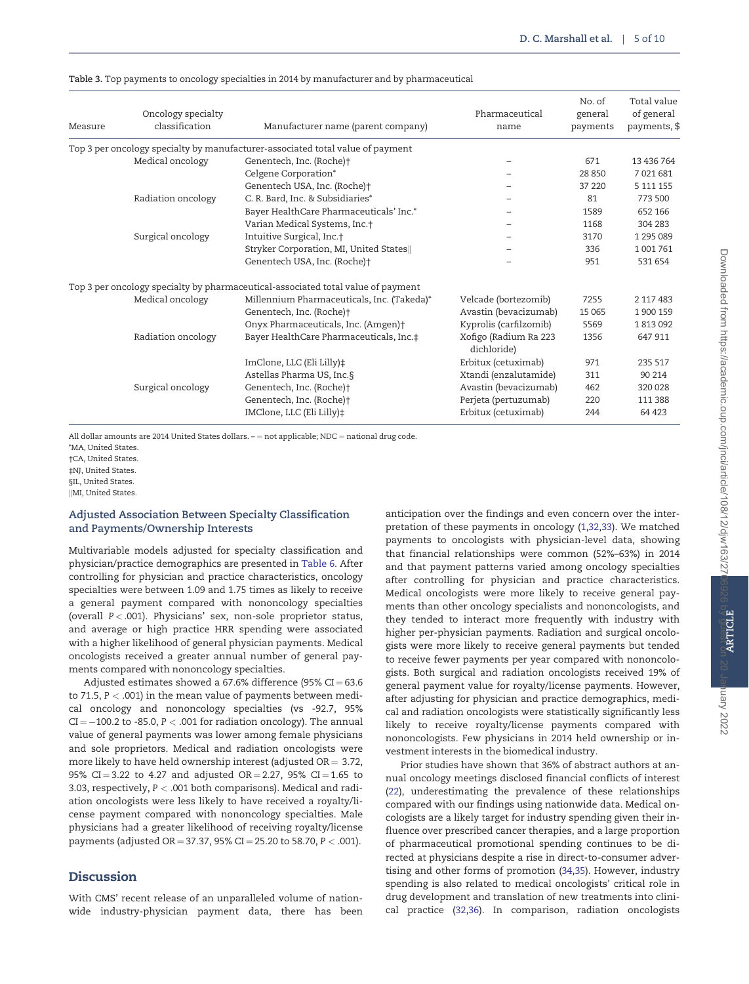| Measure | Oncology specialty<br>classification | Manufacturer name (parent company)                                               | Pharmaceutical<br>name               | No. of<br>general<br>payments | Total value<br>of general<br>payments, \$ |
|---------|--------------------------------------|----------------------------------------------------------------------------------|--------------------------------------|-------------------------------|-------------------------------------------|
|         |                                      | Top 3 per oncology specialty by manufacturer-associated total value of payment   |                                      |                               |                                           |
|         | Medical oncology                     | Genentech, Inc. (Roche)+                                                         |                                      | 671                           | 13 436 764                                |
|         |                                      | Celgene Corporation*                                                             |                                      | 28 850                        | 7 021 681                                 |
|         |                                      | Genentech USA, Inc. (Roche) <sup>+</sup>                                         |                                      | 37 220                        | 5 111 155                                 |
|         | Radiation oncology                   | C. R. Bard, Inc. & Subsidiaries*                                                 |                                      | 81                            | 773 500                                   |
|         |                                      | Bayer HealthCare Pharmaceuticals' Inc.*                                          |                                      | 1589                          | 652 166                                   |
|         |                                      | Varian Medical Systems, Inc.†                                                    |                                      | 1168                          | 304 283                                   |
|         | Surgical oncology                    | Intuitive Surgical, Inc.+                                                        |                                      | 3170                          | 1 295 089                                 |
|         |                                      | Stryker Corporation, MI, United States                                           |                                      | 336                           | 1001761                                   |
|         |                                      | Genentech USA, Inc. (Roche) <sup>+</sup>                                         |                                      | 951                           | 531 654                                   |
|         |                                      | Top 3 per oncology specialty by pharmaceutical-associated total value of payment |                                      |                               |                                           |
|         | Medical oncology                     | Millennium Pharmaceuticals, Inc. (Takeda)*                                       | Velcade (bortezomib)                 | 7255                          | 2 117 483                                 |
|         |                                      | Genentech, Inc. (Roche)+                                                         | Avastin (bevacizumab)                | 15 0 65                       | 1 900 159                                 |
|         |                                      | Onyx Pharmaceuticals, Inc. (Amgen)+                                              | Kyprolis (carfilzomib)               | 5569                          | 1813092                                   |
|         | Radiation oncology                   | Bayer HealthCare Pharmaceuticals, Inc.‡                                          | Xofigo (Radium Ra 223<br>dichloride) | 1356                          | 647 911                                   |
|         |                                      | ImClone, LLC (Eli Lilly)‡                                                        | Erbitux (cetuximab)                  | 971                           | 235 517                                   |
|         |                                      | Astellas Pharma US, Inc.§                                                        | Xtandi (enzalutamide)                | 311                           | 90 214                                    |
|         | Surgical oncology                    | Genentech, Inc. (Roche)†                                                         | Avastin (bevacizumab)                | 462                           | 320 028                                   |
|         |                                      | Genentech, Inc. (Roche)+                                                         | Perjeta (pertuzumab)                 | 220                           | 111 388                                   |
|         |                                      | IMClone, LLC (Eli Lilly)‡                                                        | Erbitux (cetuximab)                  | 244                           | 64 4 23                                   |

<span id="page-4-0"></span>Table 3. Top payments to oncology specialties in 2014 by manufacturer and by pharmaceutical

All dollar amounts are 2014 United States dollars.  $-$  = not applicable; NDC = national drug code.

\*MA, United States.

†CA, United States.

‡NJ, United States.

§IL, United States.

**IMI, United States** 

# Adjusted Association Between Specialty Classification and Payments/Ownership Interests

Multivariable models adjusted for specialty classification and physician/practice demographics are presented in [Table 6](#page-7-0). After controlling for physician and practice characteristics, oncology specialties were between 1.09 and 1.75 times as likely to receive a general payment compared with nononcology specialties (overall  $P < .001$ ). Physicians' sex, non-sole proprietor status, and average or high practice HRR spending were associated with a higher likelihood of general physician payments. Medical oncologists received a greater annual number of general payments compared with nononcology specialties.

Adjusted estimates showed a 67.6% difference (95%  $CI = 63.6$ ) to 71.5,  $P < .001$ ) in the mean value of payments between medical oncology and nononcology specialties (vs -92.7, 95% CI  $=-100.2$  to -85.0, P  $<$  .001 for radiation oncology). The annual value of general payments was lower among female physicians and sole proprietors. Medical and radiation oncologists were more likely to have held ownership interest (adjusted  $OR = 3.72$ , 95% CI = 3.22 to 4.27 and adjusted OR = 2.27, 95% CI = 1.65 to 3.03, respectively, P < .001 both comparisons). Medical and radiation oncologists were less likely to have received a royalty/license payment compared with nononcology specialties. Male physicians had a greater likelihood of receiving royalty/license payments (adjusted OR = 37.37, 95% CI = 25.20 to 58.70,  $P < .001$ ).

# Discussion

With CMS' recent release of an unparalleled volume of nationwide industry-physician payment data, there has been

anticipation over the findings and even concern over the interpretation of these payments in oncology ([1](#page-8-0)[,32,33\)](#page-9-0). We matched payments to oncologists with physician-level data, showing that financial relationships were common (52%–63%) in 2014 and that payment patterns varied among oncology specialties after controlling for physician and practice characteristics. Medical oncologists were more likely to receive general payments than other oncology specialists and nononcologists, and they tended to interact more frequently with industry with higher per-physician payments. Radiation and surgical oncologists were more likely to receive general payments but tended to receive fewer payments per year compared with nononcologists. Both surgical and radiation oncologists received 19% of general payment value for royalty/license payments. However, after adjusting for physician and practice demographics, medical and radiation oncologists were statistically significantly less likely to receive royalty/license payments compared with nononcologists. Few physicians in 2014 held ownership or investment interests in the biomedical industry.

Prior studies have shown that 36% of abstract authors at annual oncology meetings disclosed financial conflicts of interest ([22](#page-9-0)), underestimating the prevalence of these relationships compared with our findings using nationwide data. Medical oncologists are a likely target for industry spending given their influence over prescribed cancer therapies, and a large proportion of pharmaceutical promotional spending continues to be directed at physicians despite a rise in direct-to-consumer advertising and other forms of promotion ([34,35](#page-9-0)). However, industry spending is also related to medical oncologists' critical role in drug development and translation of new treatments into clinical practice [\(32,36\)](#page-9-0). In comparison, radiation oncologists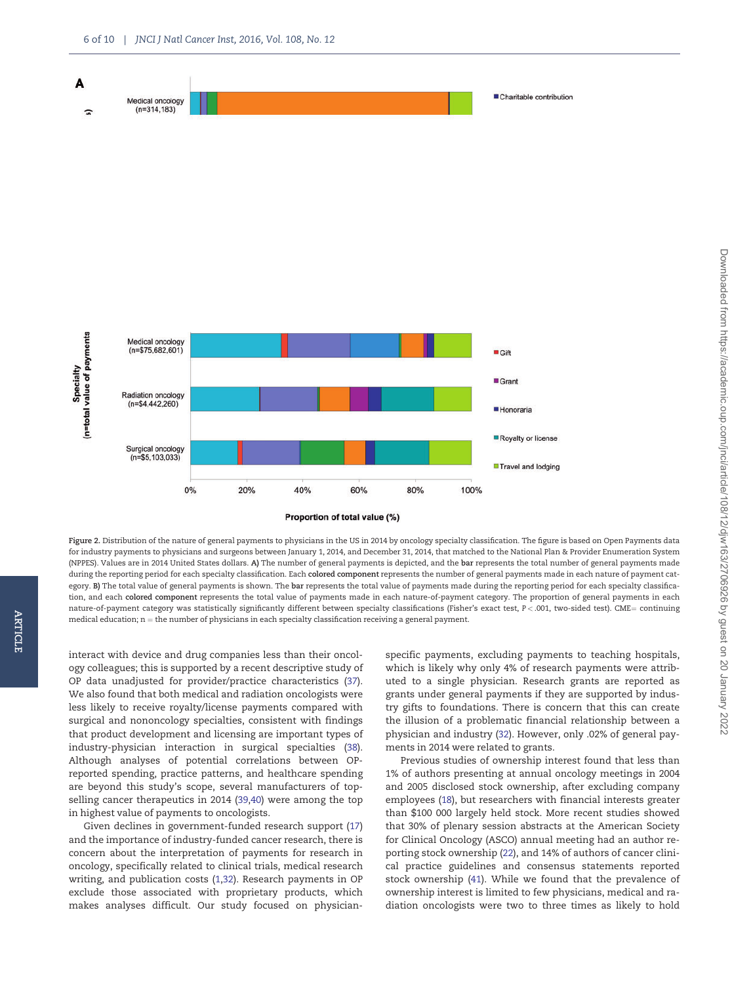<span id="page-5-0"></span>

Figure 2. Distribution of the nature of general payments to physicians in the US in 2014 by oncology specialty classification. The figure is based on Open Payments data for industry payments to physicians and surgeons between January 1, 2014, and December 31, 2014, that matched to the National Plan & Provider Enumeration System (NPPES). Values are in 2014 United States dollars. A) The number of general payments is depicted, and the bar represents the total number of general payments made during the reporting period for each specialty classification. Each colored component represents the number of general payments made in each nature of payment category. B) The total value of general payments is shown. The bar represents the total value of payments made during the reporting period for each specialty classification, and each colored component represents the total value of payments made in each nature-of-payment category. The proportion of general payments in each nature-of-payment category was statistically significantly different between specialty classifications (Fisher's exact test, P < .001, two-sided test). CME= continuing medical education;  $n =$  the number of physicians in each specialty classification receiving a general payment.

interact with device and drug companies less than their oncology colleagues; this is supported by a recent descriptive study of OP data unadjusted for provider/practice characteristics ([37](#page-9-0)). We also found that both medical and radiation oncologists were less likely to receive royalty/license payments compared with surgical and nononcology specialties, consistent with findings that product development and licensing are important types of industry-physician interaction in surgical specialties ([38](#page-9-0)). Although analyses of potential correlations between OPreported spending, practice patterns, and healthcare spending are beyond this study's scope, several manufacturers of topselling cancer therapeutics in 2014 [\(39,40\)](#page-9-0) were among the top in highest value of payments to oncologists.

ARTICLE

**ARTICLE** 

Given declines in government-funded research support ([17](#page-8-0)) and the importance of industry-funded cancer research, there is concern about the interpretation of payments for research in oncology, specifically related to clinical trials, medical research writing, and publication costs [\(1](#page-8-0)[,32\)](#page-9-0). Research payments in OP exclude those associated with proprietary products, which makes analyses difficult. Our study focused on physicianspecific payments, excluding payments to teaching hospitals, which is likely why only 4% of research payments were attributed to a single physician. Research grants are reported as grants under general payments if they are supported by industry gifts to foundations. There is concern that this can create the illusion of a problematic financial relationship between a physician and industry [\(32\)](#page-9-0). However, only .02% of general payments in 2014 were related to grants.

Previous studies of ownership interest found that less than 1% of authors presenting at annual oncology meetings in 2004 and 2005 disclosed stock ownership, after excluding company employees [\(18](#page-8-0)), but researchers with financial interests greater than \$100 000 largely held stock. More recent studies showed that 30% of plenary session abstracts at the American Society for Clinical Oncology (ASCO) annual meeting had an author reporting stock ownership ([22](#page-9-0)), and 14% of authors of cancer clinical practice guidelines and consensus statements reported stock ownership [\(41\)](#page-9-0). While we found that the prevalence of ownership interest is limited to few physicians, medical and radiation oncologists were two to three times as likely to hold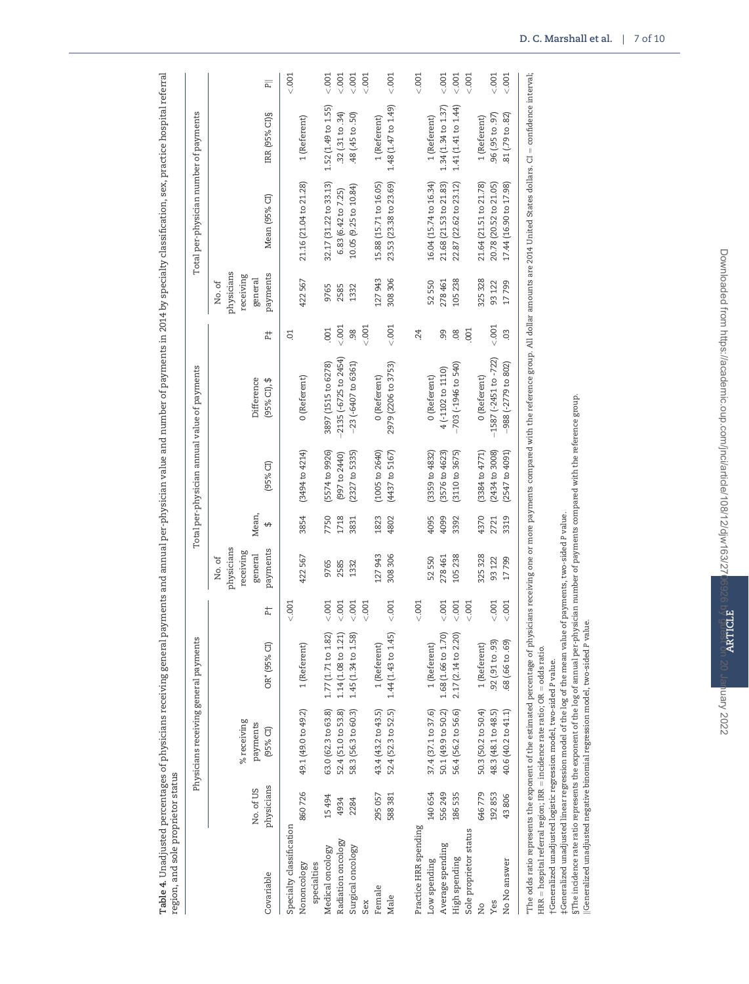<span id="page-6-0"></span>

| erral                                                                                                                       |                  |
|-----------------------------------------------------------------------------------------------------------------------------|------------------|
| ;<br>;<br>;<br>í<br>í                                                                                                       |                  |
| į<br>S<br>֦֦֧֧֦֧֧֧֦֧֧֪֧֧֧֧֧֧֪֧֧֧֛֛֪֛֞֘֝֝֬֝֝֝֬֝֓֝֬֝֓֝֬֝֓֝֬֝֓֝֬֝֓֝֬֝֓֝֬֝֓֝֓֝֓֝֓֝֬֝֓֝֬֝֓֝֬֝֬֝֓֝֬֝֬֝֬֝֬֝֝֝<br>i                 |                  |
| )<br>}<br>I<br>ś                                                                                                            |                  |
| C<br>C<br>F<br>C<br>C<br>C<br>)<br>)<br>)<br>)<br>)<br>۱                                                                    |                  |
| ł<br>ì                                                                                                                      |                  |
| ֧֦֧֧֧֧֧֧֧֧֧֧֧֧֧֧֧֧֧֧֧֧֧֛֞֘֝֬֝֬֝֬֓֝֬֝֬֝֓֝֬֝֬֓֝֬֝֬֓֝֬֝֬֓֝֬֝֬֝֬֓֬֓֓֬֓֓֝֬֝֬֝֬֝֬֝֬֝֬֝֬֝֬<br>֧֪֪֪֪֪֪֛֪֛֪֪֛֧֧֧֛֪֧֛֛֝֓֬֓֜֝֬֜<br>cov |                  |
| j<br>í<br>j                                                                                                                 |                  |
| i                                                                                                                           |                  |
| Ó                                                                                                                           |                  |
| ı<br>l                                                                                                                      |                  |
| .<br>J<br>d<br>i<br>d                                                                                                       |                  |
| J<br>i<br>١                                                                                                                 |                  |
| S<br>Ę<br>İ                                                                                                                 |                  |
| i<br>$\overline{\phantom{a}}$                                                                                               |                  |
| l<br>)<br>)<br>)<br>Ļ<br>I<br>l                                                                                             |                  |
| i<br>֧֧֦֧֦֧֦֧֦֧֦֧֦֧֦֧֦֧֦֧֦֧֦֧֦֧֦֚֝֟֟֓֬ <b>֓</b><br>Ş<br>i                                                                   |                  |
| į<br>Ş<br>ł<br>$\ddot{\phantom{0}}$<br>D                                                                                    |                  |
| à<br>l                                                                                                                      |                  |
| .<br>i                                                                                                                      |                  |
| Sea and<br>۱<br>Ş<br>C                                                                                                      |                  |
| j<br>d                                                                                                                      |                  |
| i                                                                                                                           |                  |
| i<br>i<br>į                                                                                                                 |                  |
| ֦֦֦֧֦֧֦֧֦֧֦֧ׅ֧֦֧ׅ֦֧֦֧ׅ֪֦֧ׅ֧֦֧ׅ֧֦֧֧֦֧ׅ֧֛֛֛֪֛֛֛֚֚֚֚֚֡֝֜֓֜֝֜֜֓֜֓֜֜֓֜<br>֧֧֛֛֛֛֪֪֛֪֛֛֛֪֛֪֛֝֜֜֜֜֜֜֝֜֜<br>l<br>ī                  |                  |
| $\frac{1}{2}$<br>ļ<br>d                                                                                                     |                  |
| l<br>l                                                                                                                      |                  |
| Ş<br>S<br>S<br>l<br>l                                                                                                       |                  |
| C                                                                                                                           |                  |
| pavments                                                                                                                    |                  |
|                                                                                                                             |                  |
| ì<br>d                                                                                                                      |                  |
| j<br>į                                                                                                                      |                  |
| ä<br>i                                                                                                                      |                  |
| ֚֘<br>ı<br>ׇ֠<br>l                                                                                                          |                  |
| í                                                                                                                           |                  |
|                                                                                                                             |                  |
| ١<br>l                                                                                                                      |                  |
| j<br>j<br>I<br>Ì                                                                                                            | j<br>į<br>i<br>۱ |
| しょう<br>j<br>İ                                                                                                               |                  |
| ֠<br>J<br>į<br>١                                                                                                            |                  |
| ţ<br>I<br>ļ<br>י<br>ו                                                                                                       | l<br>l<br>١      |
| j<br>l                                                                                                                      | S<br>Ó           |
| j<br>Ï<br>i<br>J                                                                                                            |                  |
|                                                                                                                             | ١                |
| Ś<br>j<br>I<br>i                                                                                                            | らくてい<br>j        |

|                            |                         | Physicians receiving general payments |                     |                  |                                                          |           |                           | Total per-physician annual value of payments                                                                                                                                                                                   |           |                                                          | Total per-physician number of payments |                     |                                  |
|----------------------------|-------------------------|---------------------------------------|---------------------|------------------|----------------------------------------------------------|-----------|---------------------------|--------------------------------------------------------------------------------------------------------------------------------------------------------------------------------------------------------------------------------|-----------|----------------------------------------------------------|----------------------------------------|---------------------|----------------------------------|
| Covariable                 | physicians<br>No. of US | % receiving<br>payments<br>$(95%$ CI) | OR* (95% CI)        | 古                | physicians<br>payments<br>receiving<br>general<br>No. of | Mean<br>↔ | $(95%$ CI)                | Difference<br>$(95%$ CI), \$                                                                                                                                                                                                   | Ħ,        | physicians<br>payments<br>receiving<br>general<br>No. of | Mean (95% CI)                          | IRR (95% CI) §      | $\overline{\mathsf{P}}$          |
| Specialty classification   |                         |                                       |                     | < .001           |                                                          |           |                           |                                                                                                                                                                                                                                | S.        |                                                          |                                        |                     | < .001                           |
| Nononcology<br>specialties | 860726                  | 49.1 (49.0 to 49.2)                   | 1 (Referent)        |                  | 422567                                                   | 3854      | $(3494$ to $4214$         | 0 (Referent)                                                                                                                                                                                                                   |           | 422567                                                   | 21.16 (21.04 to 21.28)                 | 1 (Referent)        |                                  |
| Medical oncology           | 15494                   | 63.0 (62.3 to 63.8)                   | 1.77 (1.71 to 1.82  | < .001           | 9765                                                     | 7750      | (5574 to 9926)            | 3897 (1515 to 6278)                                                                                                                                                                                                            | 001       | 9765                                                     | 32.17 (31.22 to 33.13)                 | 1.52 (1.49 to 1.55) | 001 <sub>2</sub>                 |
| Radiation oncology         | 4934                    | 52.4 (51.0 to 53.8)                   | 1.14 (1.08 to 1.21  | < .001           | 2585                                                     | 1718      | (997 to 2440)             | $-2135 (-6725 to 2454)$                                                                                                                                                                                                        | 5001      | 2585                                                     | 6.83 (6.42 to 7.25)                    | .32(.31 to .34)     | 001 <sub>2</sub>                 |
| Surgical oncology<br>Sex   | 2284                    | 58.3 (56.3 to 60.3)                   | 1.45 (1.34 to 1.58  | 001<br>001       | 1332                                                     | 3831      | $(2327$ to 5335)          | $-23(-6407$ to 6361)                                                                                                                                                                                                           | 001<br>98 | 1332                                                     | 10.05 (9.25 to 10.84)                  | 48 (45 to .50)      | $000 - 7001$<br>001 <sub>2</sub> |
| Female                     | 295 057                 | 43.4 (43.2 to 43.5)                   | 1 (Referent)        |                  | 27943                                                    | 1823      | $(1005$ to $2640)$        | 0 (Referent)                                                                                                                                                                                                                   |           | 127943                                                   | 15.88 (15.71 to 16.05)                 | 1 (Referent)        |                                  |
| Male                       | 588381                  | 52.4 (52.3 to 52.5)                   | 1.44 (1.43 to 1.45) | < 001            | 308306                                                   | 4802      | $(4437$ to $5167)$        | 2979 (2206 to 3753)                                                                                                                                                                                                            | < .001    | 308306                                                   | 23.53 (23.38 to 23.69)                 | 1.48 (1.47 to 1.49) | < .001                           |
| Practice HRR spending      |                         |                                       |                     | < .001           |                                                          |           |                           |                                                                                                                                                                                                                                | 24        |                                                          |                                        |                     | < .001                           |
| Low spending               | 140654                  | 37.4 (37.1 to 37.6)                   | 1 (Referent)        |                  | 52550                                                    | 4095      | $(3359 $ to $4832)$       | 0 (Referent)                                                                                                                                                                                                                   |           | 52550                                                    | 16.04 (15.74 to 16.34)                 | 1 (Referent)        |                                  |
| Average spending           | 556249                  | 50.1 (49.9 to 50.2)                   | 1.68 (1.66 to 1.70) | < .001           | 278461                                                   | 4099      | (3576 to 4623)            | 4 (-1102 to 1110)                                                                                                                                                                                                              | 99        | 278461                                                   | 21.68 (21.53 to 21.83)                 | 1.34(1.34 to 1.37)  | 001 <sub>2</sub>                 |
| High spending              | 186535                  | 56.4 (56.2 to 56.6)                   | 2.17 (2.14 to 2.20  | 001 < 001        | 105238                                                   | 3392      | $(3110 \text{ to } 3675)$ | $-703$ ( $-1946$ to 540)                                                                                                                                                                                                       | 08        | 105238                                                   | 22.87 (22.62 to 23.12)                 | 1.41 (1.41 to 1.44) | 001 <sub>2</sub>                 |
| Sole proprietor status     |                         |                                       |                     | 001 <sub>2</sub> |                                                          |           |                           |                                                                                                                                                                                                                                | 001       |                                                          |                                        |                     | 001 <sub>2</sub>                 |
| ž                          | 646779                  | 50.3 (50.2 to 50.4)                   | 1 (Referent)        |                  | 325 328                                                  | 4370      | $(3384$ to $4771$         | 0 (Referent)                                                                                                                                                                                                                   |           | 325 328                                                  | 21.64 (21.51 to 21.78)                 | 1 (Referent)        |                                  |
| Yes                        | 192853                  | 48.3 (48.1 to 48.5)                   | 92 (.91 to .93)     | 001 <sub>2</sub> | 93 122                                                   | 2721      | (2434 to 3008)            | $-1587$ (-2451 to -722)                                                                                                                                                                                                        | < 001     | 93 122                                                   | 20.78 (20.52 to 21.05)                 | (56, 035, 06, 06)   | 001 <sub>2</sub>                 |
| No No answer               | 43806                   | 40.6 (40.2 to 41.1)                   | 68 (.66 to .69)     | 001 <sub>2</sub> | 17799                                                    | 3319      | (2547 to 4091)            | 988 (-2779 to 802)                                                                                                                                                                                                             | 03        | 17799                                                    | 17.44 (16.90 to 17.98)                 | 81 (.79 to .82)     | 001                              |
|                            |                         |                                       |                     |                  |                                                          |           |                           | "The odds ratio represents the exponent of the estimated percentage of physicians receiving one or more payments compared with the reference group. All dollar amounts are 2014 United States dollars. CI = confidence interva |           |                                                          |                                        |                     |                                  |

HRR = hospital referral region; IRR = incidence rate ratio; OR = odds ratio.<br>†Generalized unadjusted logistic regression model, two-sided P value.  $HRR =$  hospital referral region;  $IRR =$  incidence rate ratio; OR  $=$  odds ratio.

†Generalized unadjusted logistic regression model, two-sided P value.

‡Generalized unadjusted linear regression model of the log of the mean value of payments, two-sided P value.

‡Generalized unadjusted linear regression model of the log of the mean value of payments, two-sided P value.<br>§The incidence rate ratio represents the exponent of the log of annual per-physician number of payments compared §The incidence rate ratio represents the exponent of the log of annual per-physician number of payments compared with the reference group.

kGeneralized unadjusted negative binomial regression model, two-sided P value.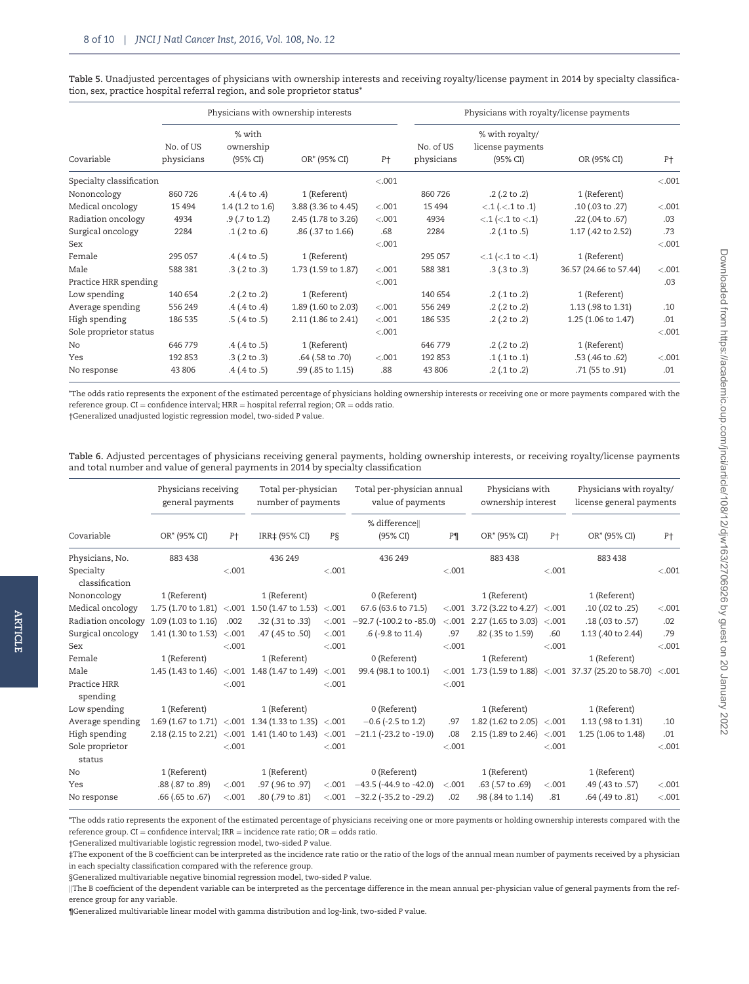|                          |                         |                                 | Physicians with ownership interests |                | Physicians with royalty/license payments |                                                 |                        |        |  |  |
|--------------------------|-------------------------|---------------------------------|-------------------------------------|----------------|------------------------------------------|-------------------------------------------------|------------------------|--------|--|--|
| Covariable               | No. of US<br>physicians | % with<br>ownership<br>(95% CI) | OR* (95% CI)                        | P <sup>+</sup> | No. of US<br>physicians                  | % with royalty/<br>license payments<br>(95% CI) | OR (95% CI)            | $P+$   |  |  |
| Specialty classification |                         |                                 |                                     | < .001         |                                          |                                                 |                        | < .001 |  |  |
| Nononcology              | 860 726                 | $.4$ (.4 to .4)                 | 1 (Referent)                        |                | 860 726                                  | $.2$ (.2 to .2)                                 | 1 (Referent)           |        |  |  |
| Medical oncology         | 15 4 94                 | $1.4$ (1.2 to 1.6)              | 3.88 (3.36 to 4.45)                 | < .001         | 15 4 94                                  | $< .1$ ( $< .1$ to $.1$ )                       | .10 (.03 to .27)       | < .001 |  |  |
| Radiation oncology       | 4934                    | $.9$ (.7 to 1.2)                | 2.45 (1.78 to 3.26)                 | < .001         | 4934                                     | $< .1$ ( $< .1$ to $< .1$ )                     | $.22$ (.04 to $.67$ )  | .03    |  |  |
| Surgical oncology        | 2284                    | $.1$ (.2 to $.6$ )              | .86 (.37 to 1.66)                   | .68            | 2284                                     | $.2$ (.1 to $.5$ )                              | 1.17 (.42 to 2.52)     | .73    |  |  |
| Sex                      |                         |                                 |                                     | < .001         |                                          |                                                 |                        | < .001 |  |  |
| Female                   | 295 057                 | $.4$ (.4 to $.5$ )              | 1 (Referent)                        |                | 295 057                                  | $< .1$ ( $< .1$ to $< .1$ )                     | 1 (Referent)           |        |  |  |
| Male                     | 588 381                 | $.3$ (.2 to $.3$ )              | 1.73 (1.59 to 1.87)                 | < .001         | 588 381                                  | $.3$ (.3 to .3)                                 | 36.57 (24.66 to 57.44) | < .001 |  |  |
| Practice HRR spending    |                         |                                 |                                     | < .001         |                                          |                                                 |                        | .03    |  |  |
| Low spending             | 140 654                 | $.2$ (.2 to .2)                 | 1 (Referent)                        |                | 140 654                                  | $.2$ (.1 to .2)                                 | 1 (Referent)           |        |  |  |
| Average spending         | 556 249                 | $.4$ (.4 to .4)                 | 1.89 (1.60 to 2.03)                 | < .001         | 556 249                                  | $.2$ (.2 to .2)                                 | 1.13 (.98 to 1.31)     | .10    |  |  |
| High spending            | 186 535                 | $.5$ (.4 to .5)                 | 2.11 (1.86 to 2.41)                 | < .001         | 186 535                                  | $.2$ (.2 to .2)                                 | 1.25 (1.06 to 1.47)    | .01    |  |  |
| Sole proprietor status   |                         |                                 |                                     | < .001         |                                          |                                                 |                        | < .001 |  |  |
| No                       | 646 779                 | $.4$ (.4 to $.5$ )              | 1 (Referent)                        |                | 646 779                                  | $.2$ (.2 to .2)                                 | 1 (Referent)           |        |  |  |
| Yes                      | 192 853                 | $.3$ (.2 to .3)                 | .64 (.58 to .70)                    | < .001         | 192 853                                  | .1(.1 to .1)                                    | .53 (.46 to .62)       | < .001 |  |  |
| No response              | 43 806                  | $.4$ (.4 to $.5$ )              | .99 (.85 to 1.15)                   | .88            | 43 806                                   | $.2$ (.1 to .2)                                 | .71 (55 to .91)        | .01    |  |  |

<span id="page-7-0"></span>Table 5. Unadjusted percentages of physicians with ownership interests and receiving royalty/license payment in 2014 by specialty classification, sex, practice hospital referral region, and sole proprietor status\*

\*The odds ratio represents the exponent of the estimated percentage of physicians holding ownership interests or receiving one or more payments compared with the reference group.  $CI =$  confidence interval;  $HRR =$  hospital referral region;  $OR =$  odds ratio.

†Generalized unadjusted logistic regression model, two-sided P value.

Table 6. Adjusted percentages of physicians receiving general payments, holding ownership interests, or receiving royalty/license payments and total number and value of general payments in 2014 by specialty classification

| Physicians receiving<br>general payments |                                | Total per-physician<br>number of payments |                                                     |         | Total per-physician annual<br>value of payments |                | Physicians with<br>ownership interest      |                | Physicians with royalty/<br>license general payments         |        |
|------------------------------------------|--------------------------------|-------------------------------------------|-----------------------------------------------------|---------|-------------------------------------------------|----------------|--------------------------------------------|----------------|--------------------------------------------------------------|--------|
| Covariable                               | OR* (95% CI)                   | P <sup>+</sup>                            | IRR‡ (95% CI)                                       | PŞ      | % difference  <br>(95% CI)                      | P <sub>1</sub> | OR* (95% CI)                               | P <sup>+</sup> | OR* (95% CI)                                                 | $P+$   |
| Physicians, No.                          | 883 438                        |                                           | 436 249                                             |         | 436 249                                         |                | 883 438                                    |                | 883 438                                                      |        |
| Specialty<br>classification              |                                | < .001                                    |                                                     | < .001  |                                                 | < .001         |                                            | < .001         |                                                              | < .001 |
| Nononcology                              | 1 (Referent)                   |                                           | 1 (Referent)                                        |         | 0 (Referent)                                    |                | 1 (Referent)                               |                | 1 (Referent)                                                 |        |
| Medical oncology                         |                                |                                           | 1.75 (1.70 to 1.81) <.001 1.50 (1.47 to 1.53) <.001 |         | 67.6 (63.6 to 71.5)                             |                | $<.001$ 3.72 (3.22 to 4.27) $<.001$        |                | .10 (.02 to .25)                                             | < .001 |
| Radiation oncology                       | 1.09 (1.03 to 1.16)            | .002                                      | .32 (.31 to .33)                                    | < 0.001 | $-92.7$ (-100.2 to -85.0)                       |                | $<.001$ 2.27 (1.65 to 3.03) $<.001$        |                | .18 (.03 to .57)                                             | .02    |
| Surgical oncology                        | 1.41 (1.30 to 1.53) $\leq$ 001 |                                           | .47 (.45 to .50)                                    | < .001  | .6 (-9.8 to 11.4)                               | .97            | .82 (.35 to 1.59)                          | .60            | 1.13 (.40 to 2.44)                                           | .79    |
| Sex                                      |                                | $-.001$                                   |                                                     | $-.001$ |                                                 | $-.001$        |                                            | $-.001$        |                                                              | < .001 |
| Female                                   | 1 (Referent)                   |                                           | 1 (Referent)                                        |         | 0 (Referent)                                    |                | 1 (Referent)                               |                | 1 (Referent)                                                 |        |
| Male                                     |                                |                                           | 1.45 (1.43 to 1.46) <.001 1.48 (1.47 to 1.49) <.001 |         | 99.4 (98.1 to 100.1)                            |                |                                            |                | <.001 1.73 (1.59 to 1.88) <.001 37.37 (25.20 to 58.70) <.001 |        |
| Practice HRR<br>spending                 |                                | $-.001$                                   |                                                     | $-.001$ |                                                 | $-.001$        |                                            |                |                                                              |        |
| Low spending                             | 1 (Referent)                   |                                           | 1 (Referent)                                        |         | 0 (Referent)                                    |                | 1 (Referent)                               |                | 1 (Referent)                                                 |        |
| Average spending                         |                                |                                           | 1.69 (1.67 to 1.71) <.001 1.34 (1.33 to 1.35) <.001 |         | $-0.6$ (-2.5 to 1.2)                            | .97            | 1.82 (1.62 to 2.05) $\leq$ 0.01            |                | 1.13 (.98 to 1.31)                                           | .10    |
| High spending                            |                                |                                           | 2.18 (2.15 to 2.21) <.001 1.41 (1.40 to 1.43) <.001 |         | $-21.1$ (-23.2 to -19.0)                        | .08            | 2.15 (1.89 to 2.46) $\langle .001 \rangle$ |                | 1.25 (1.06 to 1.48)                                          | .01    |
| Sole proprietor<br>status                |                                | $-.001$                                   |                                                     | $-.001$ |                                                 | $-.001$        |                                            | $-.001$        |                                                              | < .001 |
| No                                       | 1 (Referent)                   |                                           | 1 (Referent)                                        |         | 0 (Referent)                                    |                | 1 (Referent)                               |                | 1 (Referent)                                                 |        |
| Yes                                      | .88 (.87 to .89)               | $-.001$                                   | .97 (.96 to .97)                                    | < .001  | $-43.5$ (-44.9 to -42.0)                        | < .001         | .63 (.57 to .69)                           | $-.001$        | .49 (.43 to .57)                                             | < .001 |
| No response                              | .66 (.65 to .67)               | $-.001$                                   | .80 (.79 to .81)                                    | < .001  | $-32.2$ (-35.2 to -29.2)                        | .02            | .98 (.84 to 1.14)                          | .81            | .64 (.49 to .81)                                             | < .001 |
|                                          |                                |                                           |                                                     |         |                                                 |                |                                            |                |                                                              |        |

\*The odds ratio represents the exponent of the estimated percentage of physicians receiving one or more payments or holding ownership interests compared with the reference group. CI = confidence interval; IRR = incidence rate ratio; OR = odds ratio.

†Generalized multivariable logistic regression model, two-sided P value.

ARTICLE

ARTICLE

‡The exponent of the B coefficient can be interpreted as the incidence rate ratio or the ratio of the logs of the annual mean number of payments received by a physician in each specialty classification compared with the reference group.

§Generalized multivariable negative binomial regression model, two-sided P value.

¶Generalized multivariable linear model with gamma distribution and log-link, two-sided P value.

The B coefficient of the dependent variable can be interpreted as the percentage difference in the mean annual per-physician value of general payments from the reference group for any variable.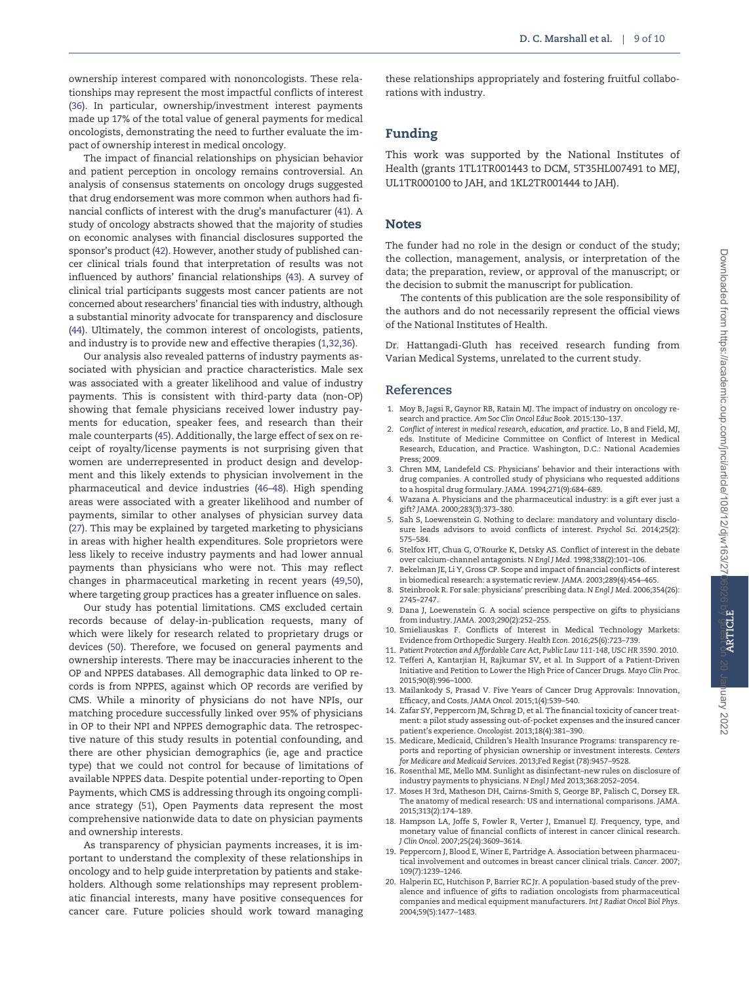<span id="page-8-0"></span>ownership interest compared with nononcologists. These relationships may represent the most impactful conflicts of interest ([36](#page-9-0)). In particular, ownership/investment interest payments made up 17% of the total value of general payments for medical oncologists, demonstrating the need to further evaluate the impact of ownership interest in medical oncology.

The impact of financial relationships on physician behavior and patient perception in oncology remains controversial. An analysis of consensus statements on oncology drugs suggested that drug endorsement was more common when authors had financial conflicts of interest with the drug's manufacturer [\(41](#page-9-0)). A study of oncology abstracts showed that the majority of studies on economic analyses with financial disclosures supported the sponsor's product [\(42](#page-9-0)). However, another study of published cancer clinical trials found that interpretation of results was not influenced by authors' financial relationships [\(43\)](#page-9-0). A survey of clinical trial participants suggests most cancer patients are not concerned about researchers' financial ties with industry, although a substantial minority advocate for transparency and disclosure ([44](#page-9-0)). Ultimately, the common interest of oncologists, patients, and industry is to provide new and effective therapies (1,[32,36](#page-9-0)).

Our analysis also revealed patterns of industry payments associated with physician and practice characteristics. Male sex was associated with a greater likelihood and value of industry payments. This is consistent with third-party data (non-OP) showing that female physicians received lower industry payments for education, speaker fees, and research than their male counterparts [\(45\)](#page-9-0). Additionally, the large effect of sex on receipt of royalty/license payments is not surprising given that women are underrepresented in product design and development and this likely extends to physician involvement in the pharmaceutical and device industries ([46](#page-9-0)–[48](#page-9-0)). High spending areas were associated with a greater likelihood and number of payments, similar to other analyses of physician survey data ([27](#page-9-0)). This may be explained by targeted marketing to physicians in areas with higher health expenditures. Sole proprietors were less likely to receive industry payments and had lower annual payments than physicians who were not. This may reflect changes in pharmaceutical marketing in recent years ([49,50](#page-9-0)), where targeting group practices has a greater influence on sales.

Our study has potential limitations. CMS excluded certain records because of delay-in-publication requests, many of which were likely for research related to proprietary drugs or devices ([50\)](#page-9-0). Therefore, we focused on general payments and ownership interests. There may be inaccuracies inherent to the OP and NPPES databases. All demographic data linked to OP records is from NPPES, against which OP records are verified by CMS. While a minority of physicians do not have NPIs, our matching procedure successfully linked over 95% of physicians in OP to their NPI and NPPES demographic data. The retrospective nature of this study results in potential confounding, and there are other physician demographics (ie, age and practice type) that we could not control for because of limitations of available NPPES data. Despite potential under-reporting to Open Payments, which CMS is addressing through its ongoing compliance strategy [\(51\)](#page-9-0), Open Payments data represent the most comprehensive nationwide data to date on physician payments and ownership interests.

As transparency of physician payments increases, it is important to understand the complexity of these relationships in oncology and to help guide interpretation by patients and stakeholders. Although some relationships may represent problematic financial interests, many have positive consequences for cancer care. Future policies should work toward managing

these relationships appropriately and fostering fruitful collaborations with industry.

# Funding

This work was supported by the National Institutes of Health (grants 1TL1TR001443 to DCM, 5T35HL007491 to MEJ, UL1TR000100 to JAH, and 1KL2TR001444 to JAH).

# **Notes**

The funder had no role in the design or conduct of the study; the collection, management, analysis, or interpretation of the data; the preparation, review, or approval of the manuscript; or the decision to submit the manuscript for publication.

The contents of this publication are the sole responsibility of the authors and do not necessarily represent the official views of the National Institutes of Health.

Dr. Hattangadi-Gluth has received research funding from Varian Medical Systems, unrelated to the current study.

# References

- 1. Moy B, Jagsi R, Gaynor RB, Ratain MJ. The impact of industry on oncology research and practice. Am Soc Clin Oncol Educ Book. 2015:130–137.
- 2. Conflict of interest in medical research, education, and practice. Lo, B and Field, MJ, eds. Institute of Medicine Committee on Conflict of Interest in Medical Research, Education, and Practice. Washington, D.C.: National Academies Press; 2009.
- 3. Chren MM, Landefeld CS. Physicians' behavior and their interactions with drug companies. A controlled study of physicians who requested additions to a hospital drug formulary. JAMA. 1994;271(9):684–689.
- 4. Wazana A. Physicians and the pharmaceutical industry: is a gift ever just a gift? JAMA. 2000;283(3):373–380.
- 5. Sah S, Loewenstein G. Nothing to declare: mandatory and voluntary disclosure leads advisors to avoid conflicts of interest. Psychol Sci. 2014;25(2): 575–584.
- 6. Stelfox HT, Chua G, O'Rourke K, Detsky AS. Conflict of interest in the debate over calcium-channel antagonists. N Engl J Med. 1998;338(2):101–106.
- 7. Bekelman JE, Li Y, Gross CP. Scope and impact of financial conflicts of interest in biomedical research: a systematic review. JAMA. 2003;289(4):454–465.
- 8. Steinbrook R. For sale: physicians' prescribing data. N Engl J Med. 2006;354(26): 2745–2747.
- 9. Dana J, Loewenstein G. A social science perspective on gifts to physicians from industry. JAMA. 2003;290(2):252–255.
- 10. Smieliauskas F. Conflicts of Interest in Medical Technology Markets: Evidence from Orthopedic Surgery. Health Econ. 2016;25(6):723–739.
- 11. Patient Protection and Affordable Care Act, Public Law 111-148, USC HR 3590. 2010. 12. Tefferi A, Kantarjian H, Rajkumar SV, et al. In Support of a Patient-Driven Initiative and Petition to Lower the High Price of Cancer Drugs. Mayo Clin Proc. 2015;90(8):996–1000.
- 13. Mailankody S, Prasad V. Five Years of Cancer Drug Approvals: Innovation, Efficacy, and Costs. JAMA Oncol. 2015;1(4):539–540.
- 14. Zafar SY, Peppercorn JM, Schrag D, et al. The financial toxicity of cancer treatment: a pilot study assessing out-of-pocket expenses and the insured cancer patient's experience. Oncologist. 2013;18(4):381–390.
- 15. Medicare, Medicaid, Children's Health Insurance Programs: transparency reports and reporting of physician ownership or investment interests. Centers for Medicare and Medicaid Services. 2013;Fed Regist (78):9457–9528.
- 16. Rosenthal ME, Mello MM. Sunlight as disinfectant–new rules on disclosure of industry payments to physicians. N Engl J Med 2013;368:2052–2054.
- 17. Moses H 3rd, Matheson DH, Cairns-Smith S, George BP, Palisch C, Dorsey ER. The anatomy of medical research: US and international comparisons. JAMA. 2015;313(2):174–189.
- 18. Hampson LA, Joffe S, Fowler R, Verter J, Emanuel EJ. Frequency, type, and monetary value of financial conflicts of interest in cancer clinical research. J Clin Oncol. 2007;25(24):3609–3614.
- 19. Peppercorn J, Blood E, Winer E, Partridge A. Association between pharmaceutical involvement and outcomes in breast cancer clinical trials. Cancer. 2007; 109(7):1239–1246.
- 20. Halperin EC, Hutchison P, Barrier RC Jr. A population-based study of the prevalence and influence of gifts to radiation oncologists from pharmaceutical companies and medical equipment manufacturers. Int J Radiat Oncol Biol Phys. 2004;59(5):1477–1483.

Dary 2022